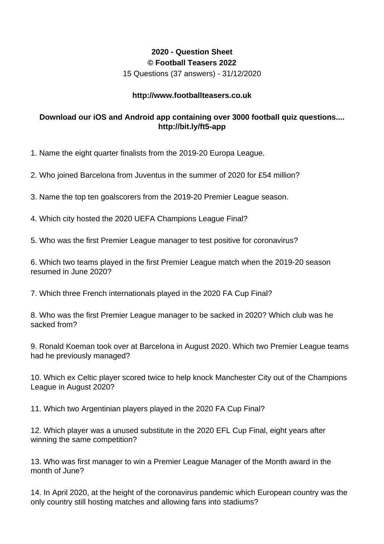## **2020 - Question Sheet © Football Teasers 2022**

15 Questions (37 answers) - 31/12/2020

## **http://www.footballteasers.co.uk**

## **Download our iOS and Android app containing over 3000 football quiz questions.... http://bit.ly/ft5-app**

1. Name the eight quarter finalists from the 2019-20 Europa League.

2. Who joined Barcelona from Juventus in the summer of 2020 for £54 million?

3. Name the top ten goalscorers from the 2019-20 Premier League season.

4. Which city hosted the 2020 UEFA Champions League Final?

5. Who was the first Premier League manager to test positive for coronavirus?

6. Which two teams played in the first Premier League match when the 2019-20 season resumed in June 2020?

7. Which three French internationals played in the 2020 FA Cup Final?

8. Who was the first Premier League manager to be sacked in 2020? Which club was he sacked from?

9. Ronald Koeman took over at Barcelona in August 2020. Which two Premier League teams had he previously managed?

10. Which ex Celtic player scored twice to help knock Manchester City out of the Champions League in August 2020?

11. Which two Argentinian players played in the 2020 FA Cup Final?

12. Which player was a unused substitute in the 2020 EFL Cup Final, eight years after winning the same competition?

13. Who was first manager to win a Premier League Manager of the Month award in the month of June?

14. In April 2020, at the height of the coronavirus pandemic which European country was the only country still hosting matches and allowing fans into stadiums?